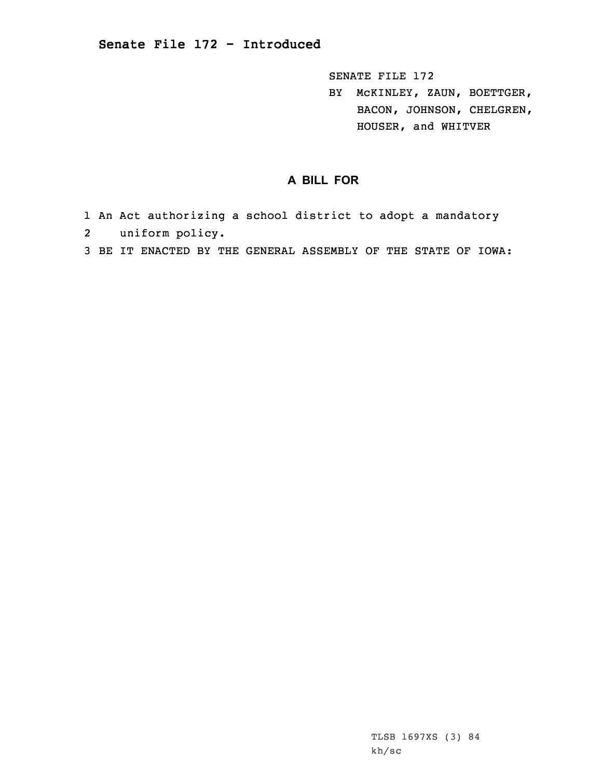SENATE FILE 172

BY McKINLEY, ZAUN, BOETTGER, BACON, JOHNSON, CHELGREN, HOUSER, and WHITVER

## **A BILL FOR**

- 1 An Act authorizing <sup>a</sup> school district to adopt <sup>a</sup> mandatory
- 2uniform policy.
- 3 BE IT ENACTED BY THE GENERAL ASSEMBLY OF THE STATE OF IOWA: